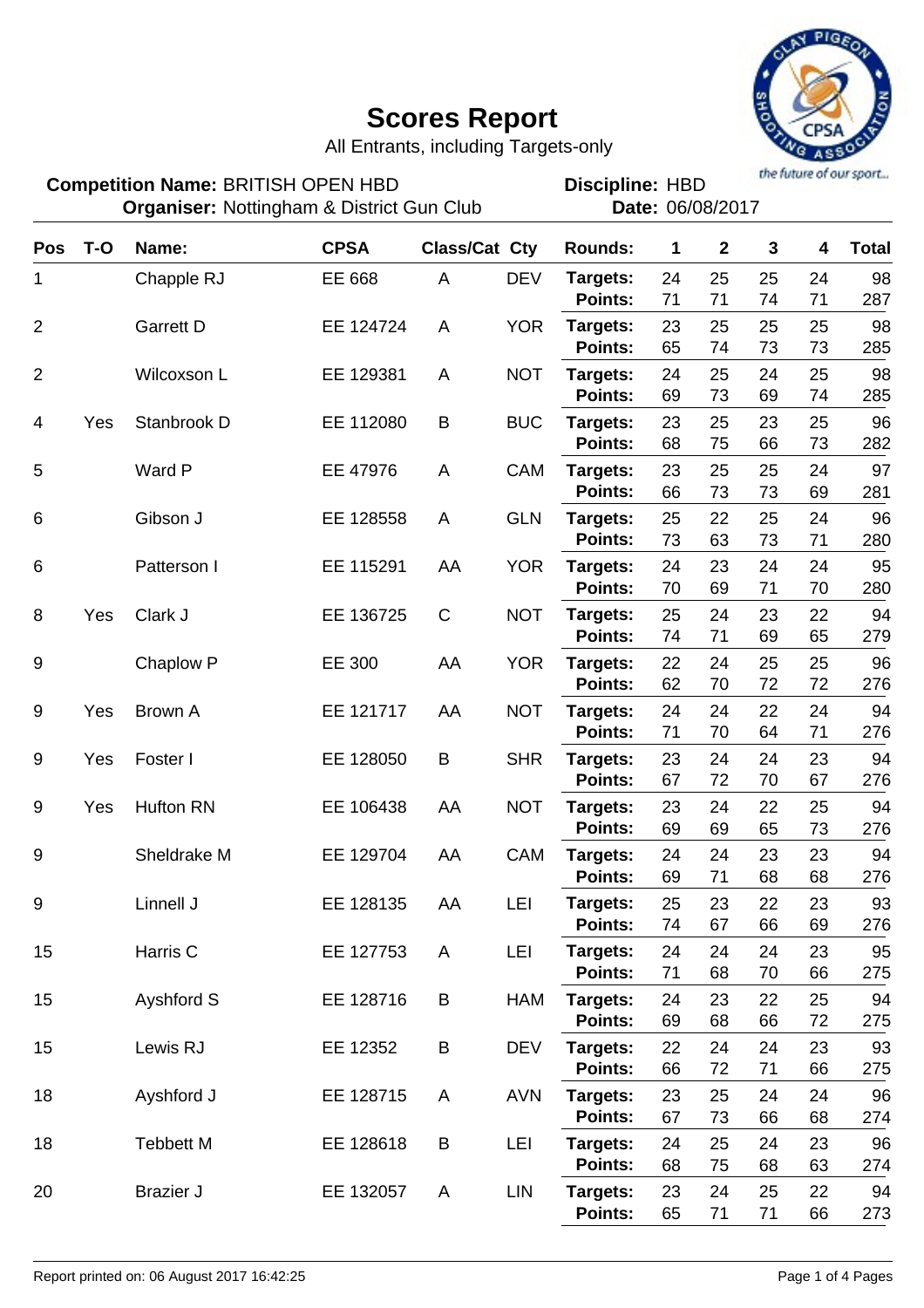

All Entrants, including Targets-only

the future of our sport...

| <b>Competition Name: BRITISH OPEN HBD</b><br><b>Organiser: Nottingham &amp; District Gun Club</b> |       |                  |             |                      | the future of our sport<br><b>Discipline: HBD</b><br>Date: 06/08/2017 |                                |                |                |                |                |                  |
|---------------------------------------------------------------------------------------------------|-------|------------------|-------------|----------------------|-----------------------------------------------------------------------|--------------------------------|----------------|----------------|----------------|----------------|------------------|
| <b>Pos</b>                                                                                        | $T-O$ | Name:            | <b>CPSA</b> | <b>Class/Cat Cty</b> |                                                                       | <b>Rounds:</b>                 | 1              | $\mathbf{2}$   | 3              | 4              | <b>Total</b>     |
| 1                                                                                                 |       | Chapple RJ       | EE 668      | A                    | <b>DEV</b>                                                            | Targets:<br><b>Points:</b>     | 24<br>71       | 25<br>71       | 25<br>74       | 24<br>71       | 98<br>287        |
| $\overline{2}$                                                                                    |       | <b>Garrett D</b> | EE 124724   | A                    | <b>YOR</b>                                                            | Targets:<br><b>Points:</b>     | 23<br>65       | 25<br>74       | 25<br>73       | 25<br>73       | 98<br>285        |
| $\overline{2}$                                                                                    |       | Wilcoxson L      | EE 129381   | A                    | <b>NOT</b>                                                            | Targets:<br><b>Points:</b>     | 24<br>69       | 25<br>73       | 24<br>69       | 25<br>74       | 98<br>285        |
| 4                                                                                                 | Yes   | Stanbrook D      | EE 112080   | B                    | <b>BUC</b>                                                            | Targets:<br><b>Points:</b>     | 23<br>68       | 25<br>75       | 23<br>66       | 25<br>73       | 96<br>282        |
| 5                                                                                                 |       | Ward P           | EE 47976    | A                    | CAM                                                                   | Targets:<br><b>Points:</b>     | 23<br>66       | 25<br>73       | 25<br>73       | 24<br>69       | 97<br>281        |
| 6                                                                                                 |       | Gibson J         | EE 128558   | A                    | <b>GLN</b>                                                            | Targets:<br><b>Points:</b>     | 25<br>73       | 22<br>63       | 25<br>73       | 24<br>71       | 96<br>280        |
| 6                                                                                                 |       | Patterson I      | EE 115291   | AA                   | <b>YOR</b>                                                            | Targets:<br><b>Points:</b>     | 24<br>70       | 23<br>69       | 24<br>71       | 24<br>70       | 95<br>280        |
| 8                                                                                                 | Yes   | Clark J          | EE 136725   | $\mathsf{C}$         | <b>NOT</b>                                                            | Targets:<br><b>Points:</b>     | 25<br>74       | 24<br>71       | 23<br>69       | 22<br>65       | 94<br>279        |
| 9                                                                                                 |       | Chaplow P        | EE 300      | AA                   | <b>YOR</b>                                                            | Targets:<br><b>Points:</b>     | 22<br>62       | 24<br>70       | 25<br>72       | 25<br>72       | 96<br>276        |
| $9\,$                                                                                             | Yes   | Brown A          | EE 121717   | AA                   | <b>NOT</b>                                                            | Targets:<br>Points:            | 24<br>71       | 24<br>70       | 22<br>64       | 24<br>71       | 94<br>276        |
| 9                                                                                                 | Yes   | Foster I         | EE 128050   | B                    | <b>SHR</b>                                                            | Targets:<br><b>Points:</b>     | 23<br>67       | 24<br>72       | 24<br>70       | 23<br>67       | 94<br>276        |
| 9                                                                                                 | Yes   | Hufton RN        | EE 106438   | AA                   | <b>NOT</b>                                                            | Targets:<br><b>Points:</b>     | 23<br>69       | 24<br>69       | 22<br>65       | 25<br>73       | 94<br>276        |
| 9                                                                                                 |       | Sheldrake M      | EE 129704   | AA                   | CAM                                                                   | Targets:<br>Points:            | 24<br>69       | 24<br>71       | 23<br>68       | 23<br>68       | 94<br>276        |
| 9                                                                                                 |       | Linnell J        | EE 128135   | AA                   | LEI                                                                   | Targets:<br>Points:            | 25<br>74       | 23<br>67       | 22<br>66       | 23<br>69       | 93<br>276        |
| 15                                                                                                |       | Harris C         | EE 127753   | A                    | LEI                                                                   | Targets:<br>Points:            | 24<br>71       | 24<br>68       | 24<br>70       | 23<br>66       | 95<br>275        |
| 15                                                                                                |       | Ayshford S       | EE 128716   | B                    | HAM                                                                   | Targets:<br>Points:            | 24<br>69       | 23<br>68       | 22<br>66       | 25<br>72       | 94<br>275        |
| 15                                                                                                |       | Lewis RJ         | EE 12352    | B                    | <b>DEV</b>                                                            | Targets:<br>Points:            | 22<br>66       | 24<br>72       | 24<br>71       | 23<br>66       | 93<br>275        |
| 18                                                                                                |       | Ayshford J       | EE 128715   | A                    | <b>AVN</b>                                                            | Targets:<br>Points:            | 23<br>67       | 25             | 24             | 24             | 96               |
| 18                                                                                                |       | <b>Tebbett M</b> | EE 128618   | B                    | LEI                                                                   | Targets:                       | 24             | 73<br>25       | 66<br>24       | 68<br>23       | 274<br>96        |
| 20                                                                                                |       | <b>Brazier J</b> | EE 132057   | A                    | LIN                                                                   | Points:<br>Targets:<br>Points: | 68<br>23<br>65 | 75<br>24<br>71 | 68<br>25<br>71 | 63<br>22<br>66 | 274<br>94<br>273 |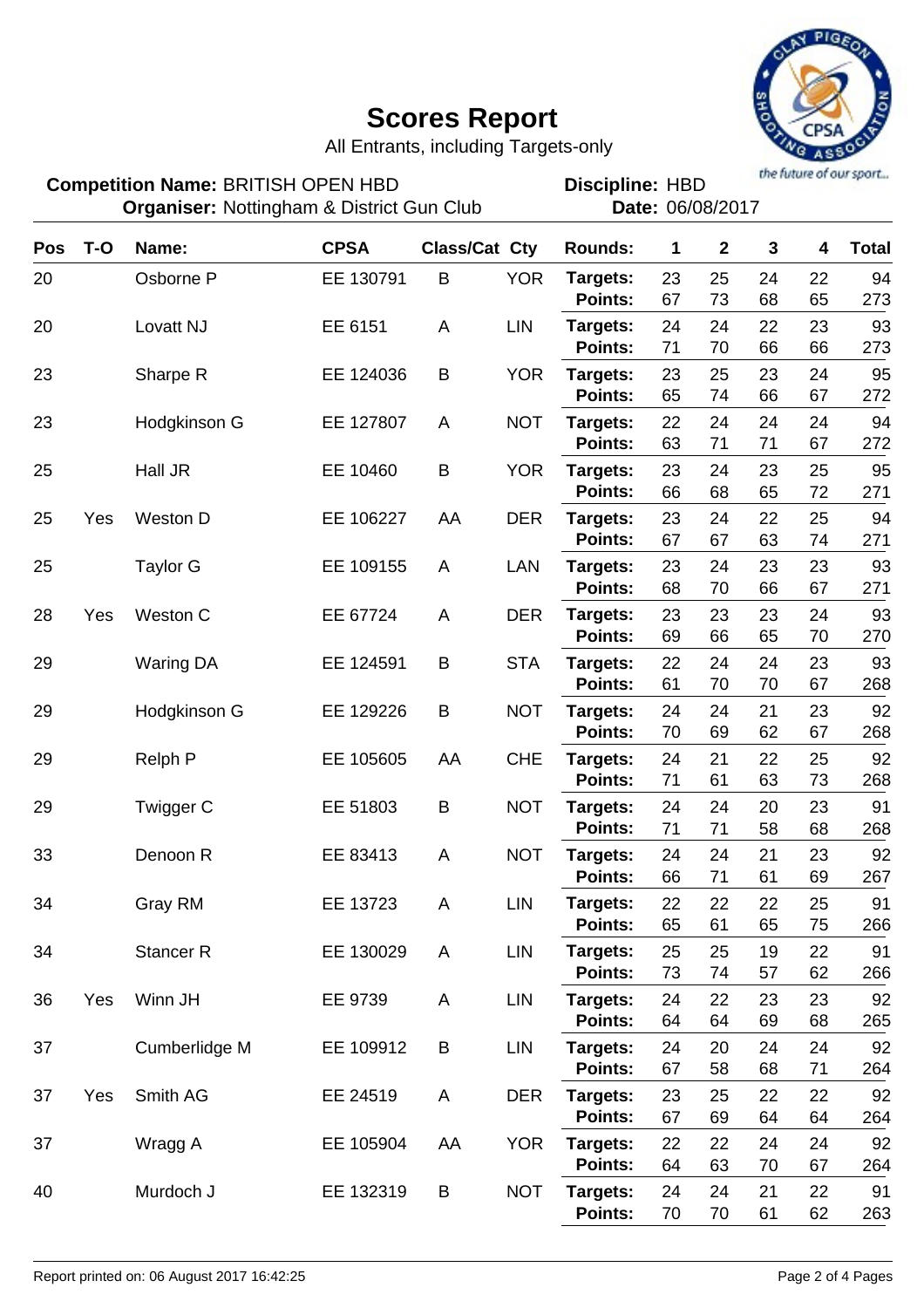

All Entrants, including Targets-only

**Competition Name: BRITISH OPEN HBD FIGURE: HBD Discipline: HBD Organiser:** Nottingham & District Gun Club **Date:** 06/08/2017

Discipline: HBD<br>Date: 06/08/2017

| Pos | $T-O$ | Name:            | <b>CPSA</b> |    | <b>Class/Cat Cty</b> | <b>Rounds:</b>             | 1        | $\mathbf{2}$ | $\mathbf{3}$ | 4        | <b>Total</b> |
|-----|-------|------------------|-------------|----|----------------------|----------------------------|----------|--------------|--------------|----------|--------------|
| 20  |       | Osborne P        | EE 130791   | B  | <b>YOR</b>           | Targets:<br>Points:        | 23<br>67 | 25<br>73     | 24<br>68     | 22<br>65 | 94<br>273    |
| 20  |       | Lovatt NJ        | EE 6151     | A  | <b>LIN</b>           | Targets:<br><b>Points:</b> | 24<br>71 | 24<br>70     | 22<br>66     | 23<br>66 | 93<br>273    |
| 23  |       | Sharpe R         | EE 124036   | B  | <b>YOR</b>           | Targets:<br><b>Points:</b> | 23<br>65 | 25<br>74     | 23<br>66     | 24<br>67 | 95<br>272    |
| 23  |       | Hodgkinson G     | EE 127807   | A  | <b>NOT</b>           | Targets:<br><b>Points:</b> | 22<br>63 | 24<br>71     | 24<br>71     | 24<br>67 | 94<br>272    |
| 25  |       | Hall JR          | EE 10460    | B  | <b>YOR</b>           | Targets:<br><b>Points:</b> | 23<br>66 | 24<br>68     | 23<br>65     | 25<br>72 | 95<br>271    |
| 25  | Yes   | Weston D         | EE 106227   | AA | <b>DER</b>           | Targets:<br><b>Points:</b> | 23<br>67 | 24<br>67     | 22<br>63     | 25<br>74 | 94<br>271    |
| 25  |       | <b>Taylor G</b>  | EE 109155   | A  | LAN                  | Targets:<br>Points:        | 23<br>68 | 24<br>70     | 23<br>66     | 23<br>67 | 93<br>271    |
| 28  | Yes   | Weston C         | EE 67724    | A  | <b>DER</b>           | Targets:<br><b>Points:</b> | 23<br>69 | 23<br>66     | 23<br>65     | 24<br>70 | 93<br>270    |
| 29  |       | <b>Waring DA</b> | EE 124591   | B  | <b>STA</b>           | Targets:<br><b>Points:</b> | 22<br>61 | 24<br>70     | 24<br>70     | 23<br>67 | 93<br>268    |
| 29  |       | Hodgkinson G     | EE 129226   | B  | <b>NOT</b>           | Targets:<br>Points:        | 24<br>70 | 24<br>69     | 21<br>62     | 23<br>67 | 92<br>268    |
| 29  |       | <b>Relph P</b>   | EE 105605   | AA | <b>CHE</b>           | Targets:<br><b>Points:</b> | 24<br>71 | 21<br>61     | 22<br>63     | 25<br>73 | 92<br>268    |
| 29  |       | Twigger C        | EE 51803    | B  | <b>NOT</b>           | Targets:<br><b>Points:</b> | 24<br>71 | 24<br>71     | 20<br>58     | 23<br>68 | 91<br>268    |
| 33  |       | Denoon R         | EE 83413    | A  | <b>NOT</b>           | Targets:<br>Points:        | 24<br>66 | 24<br>71     | 21<br>61     | 23<br>69 | 92<br>267    |
| 34  |       | Gray RM          | EE 13723    | A  | <b>LIN</b>           | Targets:<br><b>Points:</b> | 22<br>65 | 22<br>61     | 22<br>65     | 25<br>75 | 91<br>266    |
| 34  |       | <b>Stancer R</b> | EE 130029   | A  | LIN                  | Targets:<br>Points:        | 25<br>73 | 25<br>74     | 19<br>57     | 22<br>62 | 91<br>266    |
| 36  | Yes   | Winn JH          | EE 9739     | A  | LIN                  | Targets:<br>Points:        | 24<br>64 | 22<br>64     | 23<br>69     | 23<br>68 | 92<br>265    |
| 37  |       | Cumberlidge M    | EE 109912   | B  | <b>LIN</b>           | Targets:<br>Points:        | 24<br>67 | 20<br>58     | 24<br>68     | 24<br>71 | 92<br>264    |
| 37  | Yes   | Smith AG         | EE 24519    | A  | <b>DER</b>           | Targets:<br>Points:        | 23<br>67 | 25<br>69     | 22<br>64     | 22<br>64 | 92<br>264    |
| 37  |       | Wragg A          | EE 105904   | AA | <b>YOR</b>           | Targets:<br>Points:        | 22<br>64 | 22<br>63     | 24<br>70     | 24<br>67 | 92<br>264    |
| 40  |       | Murdoch J        | EE 132319   | B  | <b>NOT</b>           | Targets:<br>Points:        | 24<br>70 | 24<br>70     | 21<br>61     | 22<br>62 | 91<br>263    |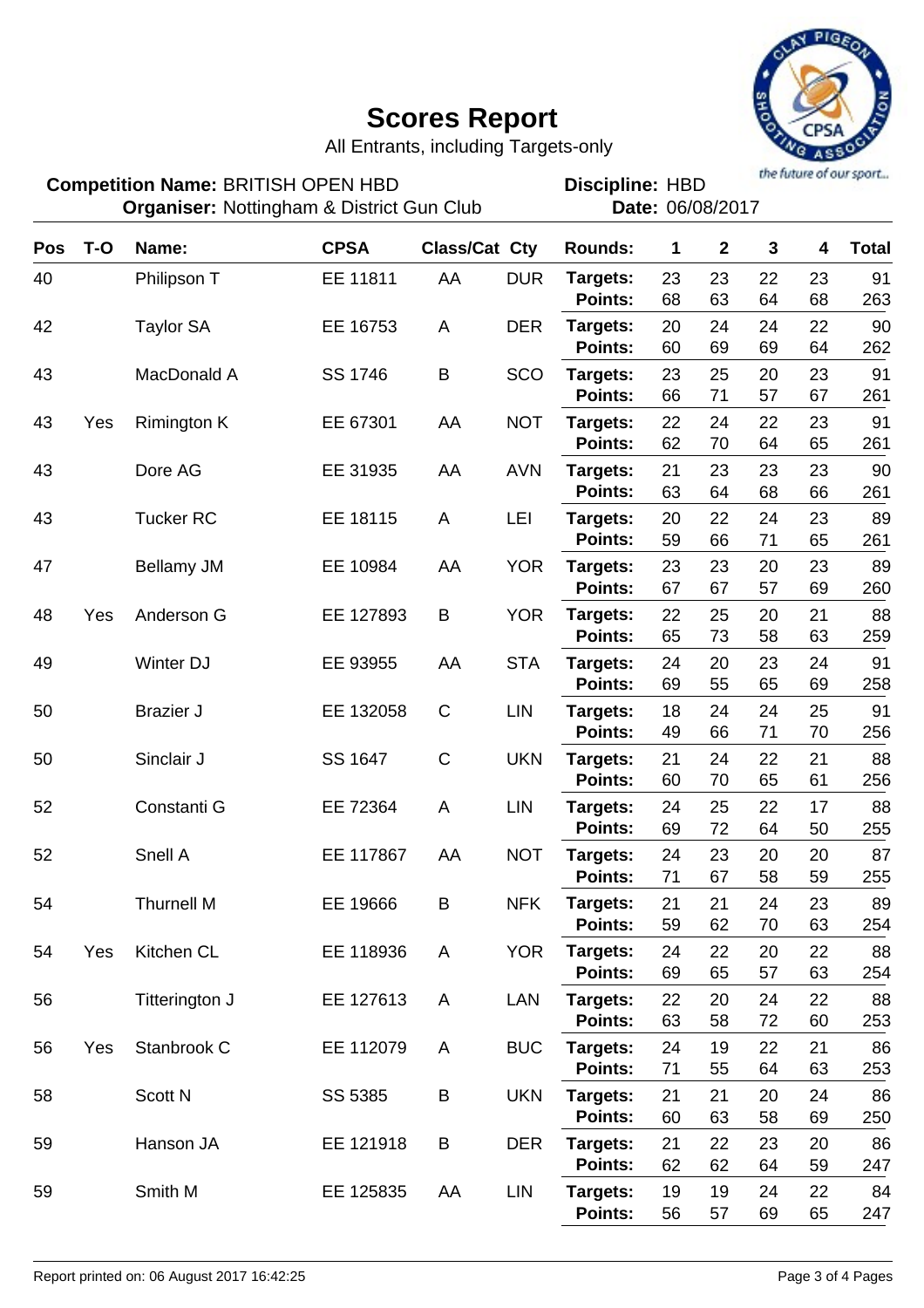

All Entrants, including Targets-only

| <b>Competition Name: BRITISH OPEN HBD</b><br><b>Organiser: Nottingham &amp; District Gun Club</b> |       |                    |             |                      |            | the future of our sport<br><b>Discipline: HBD</b><br>Date: 06/08/2017 |             |              |          |          |              |
|---------------------------------------------------------------------------------------------------|-------|--------------------|-------------|----------------------|------------|-----------------------------------------------------------------------|-------------|--------------|----------|----------|--------------|
| Pos                                                                                               | $T-O$ | Name:              | <b>CPSA</b> | <b>Class/Cat Cty</b> |            | <b>Rounds:</b>                                                        | $\mathbf 1$ | $\mathbf{2}$ | 3        | 4        | <b>Total</b> |
| 40                                                                                                |       | Philipson T        | EE 11811    | AA                   | <b>DUR</b> | Targets:<br><b>Points:</b>                                            | 23<br>68    | 23<br>63     | 22<br>64 | 23<br>68 | 91<br>263    |
| 42                                                                                                |       | <b>Taylor SA</b>   | EE 16753    | A                    | <b>DER</b> | Targets:<br><b>Points:</b>                                            | 20<br>60    | 24<br>69     | 24<br>69 | 22<br>64 | 90<br>262    |
| 43                                                                                                |       | MacDonald A        | SS 1746     | B                    | SCO        | Targets:<br><b>Points:</b>                                            | 23<br>66    | 25<br>71     | 20<br>57 | 23<br>67 | 91<br>261    |
| 43                                                                                                | Yes   | <b>Rimington K</b> | EE 67301    | AA                   | <b>NOT</b> | Targets:<br><b>Points:</b>                                            | 22<br>62    | 24<br>70     | 22<br>64 | 23<br>65 | 91<br>261    |
| 43                                                                                                |       | Dore AG            | EE 31935    | AA                   | <b>AVN</b> | Targets:<br><b>Points:</b>                                            | 21<br>63    | 23<br>64     | 23<br>68 | 23<br>66 | 90<br>261    |
| 43                                                                                                |       | <b>Tucker RC</b>   | EE 18115    | A                    | LEI        | Targets:<br><b>Points:</b>                                            | 20<br>59    | 22<br>66     | 24<br>71 | 23<br>65 | 89<br>261    |
| 47                                                                                                |       | Bellamy JM         | EE 10984    | AA                   | <b>YOR</b> | Targets:<br><b>Points:</b>                                            | 23<br>67    | 23<br>67     | 20<br>57 | 23<br>69 | 89<br>260    |
| 48                                                                                                | Yes   | Anderson G         | EE 127893   | Β                    | <b>YOR</b> | Targets:<br><b>Points:</b>                                            | 22<br>65    | 25<br>73     | 20<br>58 | 21<br>63 | 88<br>259    |
| 49                                                                                                |       | Winter DJ          | EE 93955    | AA                   | <b>STA</b> | Targets:<br><b>Points:</b>                                            | 24<br>69    | 20<br>55     | 23<br>65 | 24<br>69 | 91<br>258    |
| 50                                                                                                |       | <b>Brazier J</b>   | EE 132058   | $\mathsf C$          | <b>LIN</b> | Targets:<br><b>Points:</b>                                            | 18<br>49    | 24<br>66     | 24<br>71 | 25<br>70 | 91<br>256    |
| 50                                                                                                |       | Sinclair J         | SS 1647     | C                    | <b>UKN</b> | Targets:<br><b>Points:</b>                                            | 21<br>60    | 24<br>70     | 22<br>65 | 21<br>61 | 88<br>256    |
| 52                                                                                                |       | Constanti G        | EE 72364    | A                    | <b>LIN</b> | Targets:<br><b>Points:</b>                                            | 24<br>69    | 25<br>72     | 22<br>64 | 17<br>50 | 88<br>255    |
| 52                                                                                                |       | Snell A            | EE 117867   | AA                   | <b>NOT</b> | Targets:<br>Points:                                                   | 24<br>71    | 23<br>67     | 20<br>58 | 20<br>59 | 87<br>255    |
| 54                                                                                                |       | <b>Thurnell M</b>  | EE 19666    | B                    | <b>NFK</b> | Targets:<br>Points:                                                   | 21<br>59    | 21<br>62     | 24<br>70 | 23<br>63 | 89<br>254    |
| 54                                                                                                | Yes   | Kitchen CL         | EE 118936   | A                    | <b>YOR</b> | Targets:<br>Points:                                                   | 24<br>69    | 22<br>65     | 20<br>57 | 22<br>63 | 88<br>254    |
| 56                                                                                                |       | Titterington J     | EE 127613   | A                    | LAN        | Targets:<br>Points:                                                   | 22<br>63    | 20<br>58     | 24<br>72 | 22<br>60 | 88<br>253    |
| 56                                                                                                | Yes   | Stanbrook C        | EE 112079   | A                    | <b>BUC</b> | Targets:<br>Points:                                                   | 24<br>71    | 19<br>55     | 22<br>64 | 21<br>63 | 86<br>253    |
| 58                                                                                                |       | Scott N            | SS 5385     | B                    | <b>UKN</b> | Targets:<br>Points:                                                   | 21<br>60    | 21<br>63     | 20<br>58 | 24<br>69 | 86<br>250    |
| 59                                                                                                |       | Hanson JA          | EE 121918   | B                    | <b>DER</b> | Targets:<br>Points:                                                   | 21<br>62    | 22<br>62     | 23<br>64 | 20<br>59 | 86<br>247    |
| 59                                                                                                |       | Smith M            | EE 125835   | AA                   | <b>LIN</b> | Targets:<br>Points:                                                   | 19<br>56    | 19<br>57     | 24<br>69 | 22<br>65 | 84<br>247    |